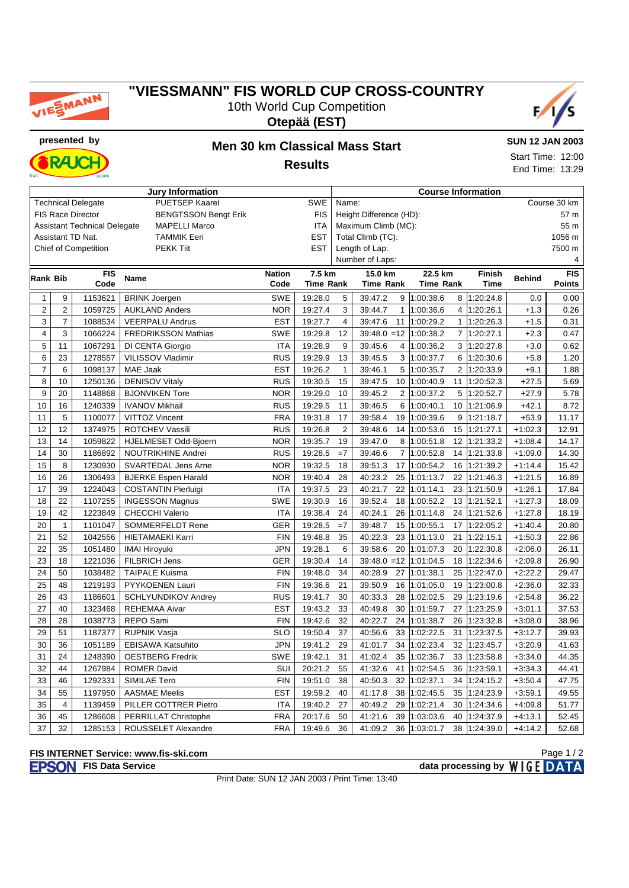

## **"VIESSMANN" FIS WORLD CUP CROSS-COUNTRY** 10th World Cup Competition





**RAJC** 

### **presented by Men 30 km Classical Mass Start Results**

**SUN 12 JAN 2003** Start Time: 12:00 End Time: 13:29

|                 |                         |                                     | <b>Jury Information</b>     |               | <b>Course Information</b> |                       |                           |                  |                             |               |               |  |  |
|-----------------|-------------------------|-------------------------------------|-----------------------------|---------------|---------------------------|-----------------------|---------------------------|------------------|-----------------------------|---------------|---------------|--|--|
|                 |                         | <b>Technical Delegate</b>           | <b>PUETSEP Kaarel</b>       |               | <b>SWE</b>                | Name:<br>Course 30 km |                           |                  |                             |               |               |  |  |
|                 |                         | <b>FIS Race Director</b>            | <b>BENGTSSON Bengt Erik</b> |               | <b>FIS</b>                |                       | Height Difference (HD):   | 57 m             |                             |               |               |  |  |
|                 |                         | <b>Assistant Technical Delegate</b> | <b>MAPELLI Marco</b>        |               | <b>ITA</b>                |                       | Maximum Climb (MC):       | 55 m             |                             |               |               |  |  |
|                 |                         | Assistant TD Nat.                   | <b>TAMMIK Eeri</b>          | <b>EST</b>    |                           | Total Climb (TC):     |                           |                  | 1056 m                      |               |               |  |  |
|                 |                         | Chief of Competition                | <b>PEKK Tiit</b>            | <b>EST</b>    |                           | Length of Lap:        |                           |                  |                             | 7500 m        |               |  |  |
|                 |                         |                                     |                             |               |                           | Number of Laps:       |                           |                  |                             | 4             |               |  |  |
| <b>Rank Bib</b> |                         | <b>FIS</b>                          | Name                        | <b>Nation</b> | 7.5 km                    |                       | 15.0 km                   | 22.5 km          | <b>Finish</b>               | <b>Behind</b> | <b>FIS</b>    |  |  |
|                 |                         | Code                                |                             | Code          | <b>Time Rank</b>          |                       | <b>Time Rank</b>          | <b>Time Rank</b> | <b>Time</b>                 |               | <b>Points</b> |  |  |
| $\mathbf{1}$    | 9                       | 1153621                             | <b>BRINK Joergen</b>        | <b>SWE</b>    | 19:28.0                   | 5                     | 39:47.2<br>9              | 1:00:38.6        | 8 1:20:24.8                 | 0.0           | 0.00          |  |  |
| $\overline{2}$  | $\overline{c}$          | 1059725                             | <b>AUKLAND Anders</b>       | <b>NOR</b>    | 19:27.4                   | 3                     | $\mathbf{1}$<br>39:44.7   | 1:00:36.6        | $\overline{4}$<br>1:20:26.1 | $+1.3$        | 0.26          |  |  |
| 3               | 7                       | 1088534                             | <b>VEERPALU Andrus</b>      | <b>EST</b>    | 19:27.7                   | $\overline{4}$        | 39:47.6<br>11             | 1:00:29.2        | $\mathbf{1}$<br>1:20:26.3   | $+1.5$        | 0.31          |  |  |
| $\overline{4}$  | 3                       | 1066224                             | <b>FREDRIKSSON Mathias</b>  | <b>SWE</b>    | 19:29.8                   | 12                    | $39:48.0 = 12$            | 1:00:38.2        | $\overline{7}$<br>1:20:27.1 | $+2.3$        | 0.47          |  |  |
| 5               | 11                      | 1067291                             | DI CENTA Giorgio            | <b>ITA</b>    | 19:28.9                   | 9                     | 39:45.6<br>4              | 1:00:36.2        | 3<br>1:20:27.8              | $+3.0$        | 0.62          |  |  |
| 6               | 23                      | 1278557                             | VILISSOV Vladimir           | <b>RUS</b>    | 19:29.9                   | 13                    | 39:45.5<br>3              | 1:00:37.7        | 6<br>1:20:30.6              | $+5.8$        | 1.20          |  |  |
| $\overline{7}$  | 6                       | 1098137                             | MAE Jaak                    | <b>EST</b>    | 19:26.2                   | $\mathbf{1}$          | 39:46.1<br>5              | 1:00:35.7        | $\overline{2}$<br>1:20:33.9 | $+9.1$        | 1.88          |  |  |
| 8               | 10                      | 1250136                             | <b>DENISOV Vitaly</b>       | <b>RUS</b>    | 19:30.5                   | 15                    | 39:47.5<br>10             | 1:00:40.9        | 11<br>1:20:52.3             | $+27.5$       | 5.69          |  |  |
| 9               | 20                      | 1148868                             | <b>BJONVIKEN Tore</b>       | <b>NOR</b>    | 19:29.0                   | 10                    | 2<br>39:45.2              | 1:00:37.2        | 5<br>1:20:52.7              | $+27.9$       | 5.78          |  |  |
| 10              | 16                      | 1240339                             | <b>IVANOV Mikhail</b>       | <b>RUS</b>    | 19:29.5                   | 11                    | 39:46.5<br>6              | 1:00:40.1        | 10<br>1:21:06.9             | $+42.1$       | 8.72          |  |  |
| 11              | $\mathbf 5$             | 1100077                             | VITTOZ Vincent              | <b>FRA</b>    | 19:31.8                   | 17                    | 39:58.4<br>19             | 1:00:39.6        | 9<br>1:21:18.7              | $+53.9$       | 11.17         |  |  |
| 12              | 12                      | 1374975                             | ROTCHEV Vassili             | <b>RUS</b>    | 19:26.8                   | $\overline{2}$        | 39:48.6<br>14             | 1:00:53.6        | 15<br>1:21:27.1             | $+1:02.3$     | 12.91         |  |  |
| 13              | 14                      | 1059822                             | HJELMESET Odd-Bjoern        | <b>NOR</b>    | 19:35.7                   | 19                    | 39:47.0<br>8              | 1:00:51.8        | 12<br>1:21:33.2             | $+1:08.4$     | 14.17         |  |  |
| 14              | 30                      | 1186892                             | <b>NOUTRIKHINE Andrei</b>   | <b>RUS</b>    | 19:28.5                   | $=7$                  | 39:46.6<br>$\overline{7}$ | 1:00:52.8        | 14<br>1:21:33.8             | $+1:09.0$     | 14.30         |  |  |
| 15              | 8                       | 1230930                             | SVARTEDAL Jens Arne         | <b>NOR</b>    | 19:32.5                   | 18                    | 39:51.3<br>17             | 1:00:54.2        | 16<br>1:21:39.2             | $+1:14.4$     | 15.42         |  |  |
| 16              | 26                      | 1306493                             | <b>BJERKE Espen Harald</b>  | <b>NOR</b>    | 19:40.4                   | 28                    | 40:23.2<br>25             | 1:01:13.7        | 22<br>1:21:46.3             | $+1:21.5$     | 16.89         |  |  |
| 17              | 39                      | 1224043                             | <b>COSTANTIN Pierluigi</b>  | <b>ITA</b>    | 19:37.5                   | 23                    | 40:21.7<br>22             | 1:01:14.1        | 1:21:50.9<br>23             | $+1:26.1$     | 17.84         |  |  |
| 18              | 22                      | 1107255                             | <b>INGESSON Magnus</b>      | <b>SWE</b>    | 19:30.9                   | 16                    | 39:52.4<br>18             | 1:00:52.2        | 13<br>1:21:52.1             | $+1:27.3$     | 18.09         |  |  |
| 19              | 42                      | 1223849                             | <b>CHECCHI Valerio</b>      | <b>ITA</b>    | 19:38.4                   | 24                    | 40:24.1<br>26             | 1:01:14.8        | 24<br>1:21:52.6             | $+1:27.8$     | 18.19         |  |  |
| 20              | $\mathbf{1}$            | 1101047                             | <b>SOMMERFELDT Rene</b>     | <b>GER</b>    | 19:28.5                   | $=7$                  | 39:48.7<br>15             | 1:00:55.1        | 1:22:05.2<br>17             | $+1:40.4$     | 20.80         |  |  |
| 21              | 52                      | 1042556                             | <b>HIETAMAEKI Karri</b>     | <b>FIN</b>    | 19:48.8                   | 35                    | 40:22.3<br>23             | 1:01:13.0        | 21<br>1:22:15.1             | $+1:50.3$     | 22.86         |  |  |
| 22              | 35                      | 1051480                             | <b>IMAI Hiroyuki</b>        | <b>JPN</b>    | 19:28.1                   | 6                     | 39:58.6<br>20             | 1:01:07.3        | 20<br>1:22:30.8             | $+2:06.0$     | 26.11         |  |  |
| 23              | 18                      | 1221036                             | <b>FILBRICH Jens</b>        | <b>GER</b>    | 19:30.4                   | 14                    | $39:48.0 = 12$            | 1:01:04.5        | 1:22:34.6<br>18             | $+2:09.8$     | 26.90         |  |  |
| 24              | 50                      | 1038482                             | <b>TAIPALE Kuisma</b>       | <b>FIN</b>    | 19:48.0                   | 34                    | 40:28.9<br>27             | 1:01:38.1        | 25<br>1:22:47.0             | $+2:22.2$     | 29.47         |  |  |
| 25              | 48                      | 1219193                             | PYYKOENEN Lauri             | <b>FIN</b>    | 19:36.6                   | 21                    | 39:50.9<br>16             | 1:01:05.0        | 19<br>1:23:00.8             | $+2:36.0$     | 32.33         |  |  |
| 26              | 43                      | 1186601                             | SCHLYUNDIKOV Andrey         | <b>RUS</b>    | 19:41.7                   | 30                    | 40:33.3<br>28             | 1:02:02.5        | 29<br>1:23:19.6             | $+2:54.8$     | 36.22         |  |  |
| 27              | 40                      | 1323468                             | <b>REHEMAA Aivar</b>        | <b>EST</b>    | 19:43.2                   | 33                    | 40:49.8<br>30             | 1:01:59.7        | 27<br>1:23:25.9             | $+3:01.1$     | 37.53         |  |  |
| 28              | 28                      | 1038773                             | REPO Sami                   | <b>FIN</b>    | 19:42.6                   | 32                    | 40:22.7<br>24             | 1:01:38.7        | 26<br>1:23:32.8             | $+3:08.0$     | 38.96         |  |  |
| 29              | 51                      | 1187377                             | <b>RUPNIK Vasja</b>         | <b>SLO</b>    | 19:50.4                   | 37                    | 40:56.6<br>33             | 1:02:22.5        | 31<br>1:23:37.5             | $+3:12.7$     | 39.93         |  |  |
| 30              | 36                      | 1051189                             | <b>EBISAWA Katsuhito</b>    | <b>JPN</b>    | 19:41.2                   | 29                    | 34<br>41:01.7             | 1:02:23.4        | 32<br>1:23:45.7             | $+3:20.9$     | 41.63         |  |  |
| 31              | 24                      | 1248390                             | <b>OESTBERG Fredrik</b>     | <b>SWE</b>    | 19:42.1                   | 31                    | 41:02.4<br>35             | 1:02:36.7        | 33<br>1:23:58.8             | $+3:34.0$     | 44.35         |  |  |
| 32              | 44                      | 1267984                             | <b>ROMER David</b>          | SUI           | 20:21.2                   | 55                    | 41:32.6<br>41             | 1:02:54.5        | 36<br>1:23:59.1             | $+3:34.3$     | 44.41         |  |  |
| 33              | 46                      | 1292331                             | SIMILAE Tero                | <b>FIN</b>    | 19:51.0                   | 38                    | 40:50.3<br>32             | 1:02:37.1        | 34<br>1:24:15.2             | $+3:50.4$     | 47.75         |  |  |
| 34              | 55                      | 1197950                             | <b>AASMAE Meelis</b>        | <b>EST</b>    | 19:59.2                   | 40                    | 41:17.8<br>38             | 1:02:45.5        | 35<br>1:24:23.9             | $+3:59.1$     | 49.55         |  |  |
| 35              | $\overline{\mathbf{4}}$ | 1139459                             | PILLER COTTRER Pietro       | <b>ITA</b>    | 19:40.2                   | 27                    | 40:49.2<br>29             | 1:02:21.4        | 30<br>1:24:34.6             | $+4:09.8$     | 51.77         |  |  |
| 36              | 45                      | 1286608                             | PERRILLAT Christophe        | <b>FRA</b>    | 20:17.6                   | 50                    | 41:21.6<br>39             | 1:03:03.6        | 40<br>1:24:37.9             | $+4:13.1$     | 52.45         |  |  |
| 37              | 32                      | 1285153                             | ROUSSELET Alexandre         | <b>FRA</b>    | 19:49.6                   | 36                    | 41:09.2                   | 36 1:03:01.7     | 38 1:24:39.0                | $+4:14.2$     | 52.68         |  |  |

#### **FIS INTERNET Service: www.fis-ski.com**

**FISON** FIS Data Service **data processing by** WIGE DATA Page 1 / 2

Print Date: SUN 12 JAN 2003 / Print Time: 13:40